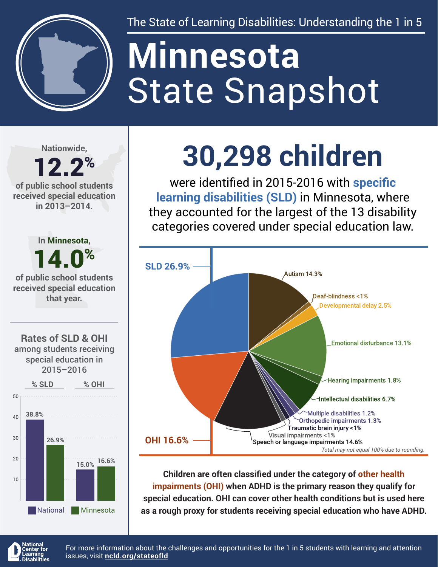

The State of Learning Disabilities: Understanding the 1 in 5

# State Snapshot **Minnesota**

**Nationwide,**

### 12.2% **of public school students**

**received special education in 2013–2014.**



## **30,298 children**

were identified in 2015-2016 with **specific learning disabilities (SLD)** in Minnesota, where they accounted for the largest of the 13 disability categories covered under special education law.



**Children are often classified under the category of other health impairments (OHI) when ADHD is the primary reason they qualify for special education. OHI can cover other health conditions but is used here as a rough proxy for students receiving special education who have ADHD.**



For more information about the challenges and opportunities for the 1 in 5 students with learning and attention issues, visit **[ncld.org/stateofld](http://ncld.org/stateofld)**